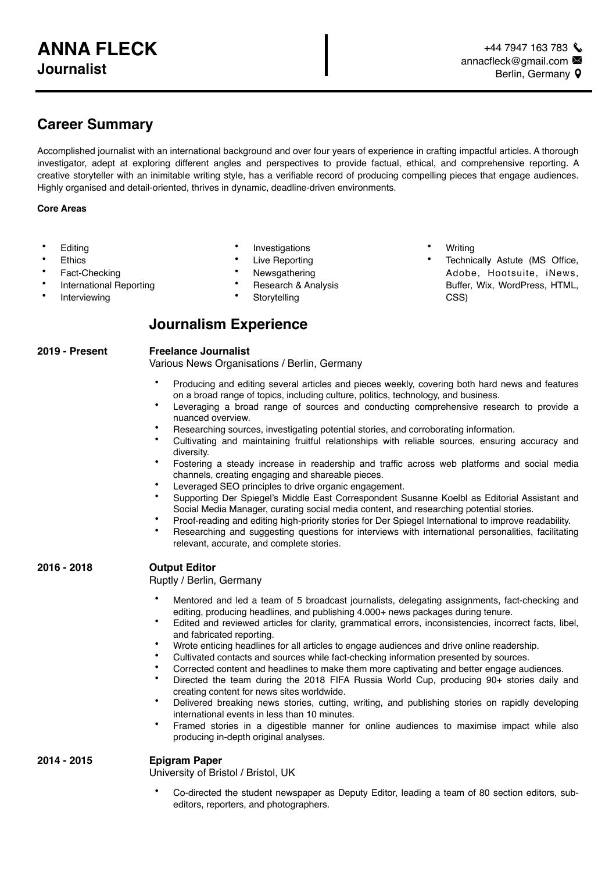# **Career Summary**

Accomplished journalist with an international background and over four years of experience in crafting impactful articles. A thorough investigator, adept at exploring different angles and perspectives to provide factual, ethical, and comprehensive reporting. A creative storyteller with an inimitable writing style, has a verifiable record of producing compelling pieces that engage audiences. Highly organised and detail-oriented, thrives in dynamic, deadline-driven environments.

## **Core Areas**

- **Editing**
- **Ethics**
- Fact-Checking
- International Reporting
- **Interviewing**
- **Investigations**
- **Live Reporting**
- **Newsgathering**
- Research & Analysis
- **Storytelling**

## **Journalism Experience**

#### **2019 - Present Freelance Journalist**

Various News Organisations / Berlin, Germany

- Producing and editing several articles and pieces weekly, covering both hard news and features on a broad range of topics, including culture, politics, technology, and business.
- Leveraging a broad range of sources and conducting comprehensive research to provide a nuanced overview.
- Researching sources, investigating potential stories, and corroborating information.
- Cultivating and maintaining fruitful relationships with reliable sources, ensuring accuracy and diversity.
- Fostering a steady increase in readership and traffic across web platforms and social media channels, creating engaging and shareable pieces.
- Leveraged SEO principles to drive organic engagement.
- Supporting Der Spiegel's Middle East Correspondent Susanne Koelbl as Editorial Assistant and Social Media Manager, curating social media content, and researching potential stories.
- Proof-reading and editing high-priority stories for Der Spiegel International to improve readability.
- Researching and suggesting questions for interviews with international personalities, facilitating relevant, accurate, and complete stories.

## **2016 - 2018 Output Editor**

Ruptly / Berlin, Germany

- Mentored and led a team of 5 broadcast journalists, delegating assignments, fact-checking and editing, producing headlines, and publishing 4.000+ news packages during tenure.
- Edited and reviewed articles for clarity, grammatical errors, inconsistencies, incorrect facts, libel, and fabricated reporting.
- Wrote enticing headlines for all articles to engage audiences and drive online readership.
- Cultivated contacts and sources while fact-checking information presented by sources.
- Corrected content and headlines to make them more captivating and better engage audiences.
	- Directed the team during the 2018 FIFA Russia World Cup, producing 90+ stories daily and creating content for news sites worldwide.
- Delivered breaking news stories, cutting, writing, and publishing stories on rapidly developing international events in less than 10 minutes.
- Framed stories in a digestible manner for online audiences to maximise impact while also producing in-depth original analyses.

## **2014 - 2015 Epigram Paper**

University of Bristol / Bristol, UK

• Co-directed the student newspaper as Deputy Editor, leading a team of 80 section editors, subeditors, reporters, and photographers.

- **Writing**
- Technically Astute (MS Office, Adobe, Hootsuite, iNews, Buffer, Wix, WordPress, HTML, CSS)